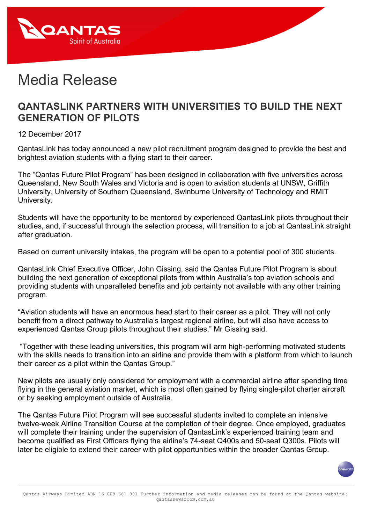

## Media Release

## **QANTASLINK PARTNERS WITH UNIVERSITIES TO BUILD THE NEXT GENERATION OF PILOTS**

12 December 2017

QantasLink has today announced a new pilot recruitment program designed to provide the best and brightest aviation students with a flying start to their career.

The "Qantas Future Pilot Program" has been designed in collaboration with five universities across Queensland, New South Wales and Victoria and is open to aviation students at UNSW, Griffith University, University of Southern Queensland, Swinburne University of Technology and RMIT University.

Students will have the opportunity to be mentored by experienced QantasLink pilots throughout their studies, and, if successful through the selection process, will transition to a job at QantasLink straight after graduation.

Based on current university intakes, the program will be open to a potential pool of 300 students.

QantasLink Chief Executive Officer, John Gissing, said the Qantas Future Pilot Program is about building the next generation of exceptional pilots from within Australia's top aviation schools and providing students with unparalleled benefits and job certainty not available with any other training program.

"Aviation students will have an enormous head start to their career as a pilot. They will not only benefit from a direct pathway to Australia's largest regional airline, but will also have access to experienced Qantas Group pilots throughout their studies," Mr Gissing said.

"Together with these leading universities, this program will arm high-performing motivated students with the skills needs to transition into an airline and provide them with a platform from which to launch their career as a pilot within the Qantas Group."

New pilots are usually only considered for employment with a commercial airline after spending time flying in the general aviation market, which is most often gained by flying single-pilot charter aircraft or by seeking employment outside of Australia.

The Qantas Future Pilot Program will see successful students invited to complete an intensive twelve-week Airline Transition Course at the completion of their degree. Once employed, graduates will complete their training under the supervision of QantasLink's experienced training team and become qualified as First Officers flying the airline's 74-seat Q400s and 50-seat Q300s. Pilots will later be eligible to extend their career with pilot opportunities within the broader Qantas Group.